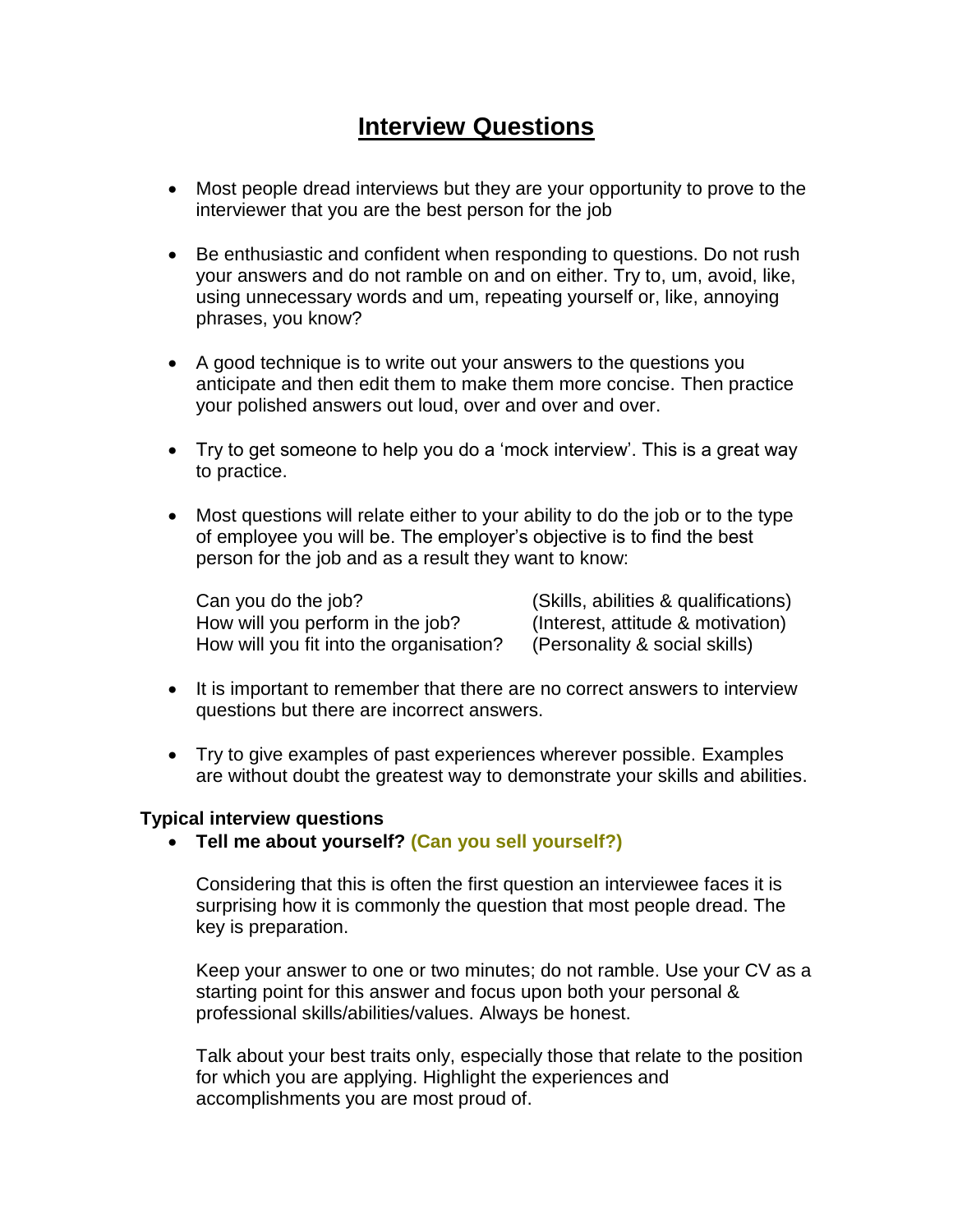# **Interview Questions**

- Most people dread interviews but they are your opportunity to prove to the interviewer that you are the best person for the job
- Be enthusiastic and confident when responding to questions. Do not rush your answers and do not ramble on and on either. Try to, um, avoid, like, using unnecessary words and um, repeating yourself or, like, annoying phrases, you know?
- A good technique is to write out your answers to the questions you anticipate and then edit them to make them more concise. Then practice your polished answers out loud, over and over and over.
- Try to get someone to help you do a 'mock interview'. This is a great way to practice.
- Most questions will relate either to your ability to do the job or to the type of employee you will be. The employer's objective is to find the best person for the job and as a result they want to know:

Can you do the job? (Skills, abilities & qualifications) How will you perform in the job? (Interest, attitude & motivation) How will you fit into the organisation? (Personality & social skills)

- It is important to remember that there are no correct answers to interview questions but there are incorrect answers.
- Try to give examples of past experiences wherever possible. Examples are without doubt the greatest way to demonstrate your skills and abilities.

## **Typical interview questions**

**Tell me about yourself? (Can you sell yourself?)**

Considering that this is often the first question an interviewee faces it is surprising how it is commonly the question that most people dread. The key is preparation.

Keep your answer to one or two minutes; do not ramble. Use your CV as a starting point for this answer and focus upon both your personal & professional skills/abilities/values. Always be honest.

Talk about your best traits only, especially those that relate to the position for which you are applying. Highlight the experiences and accomplishments you are most proud of.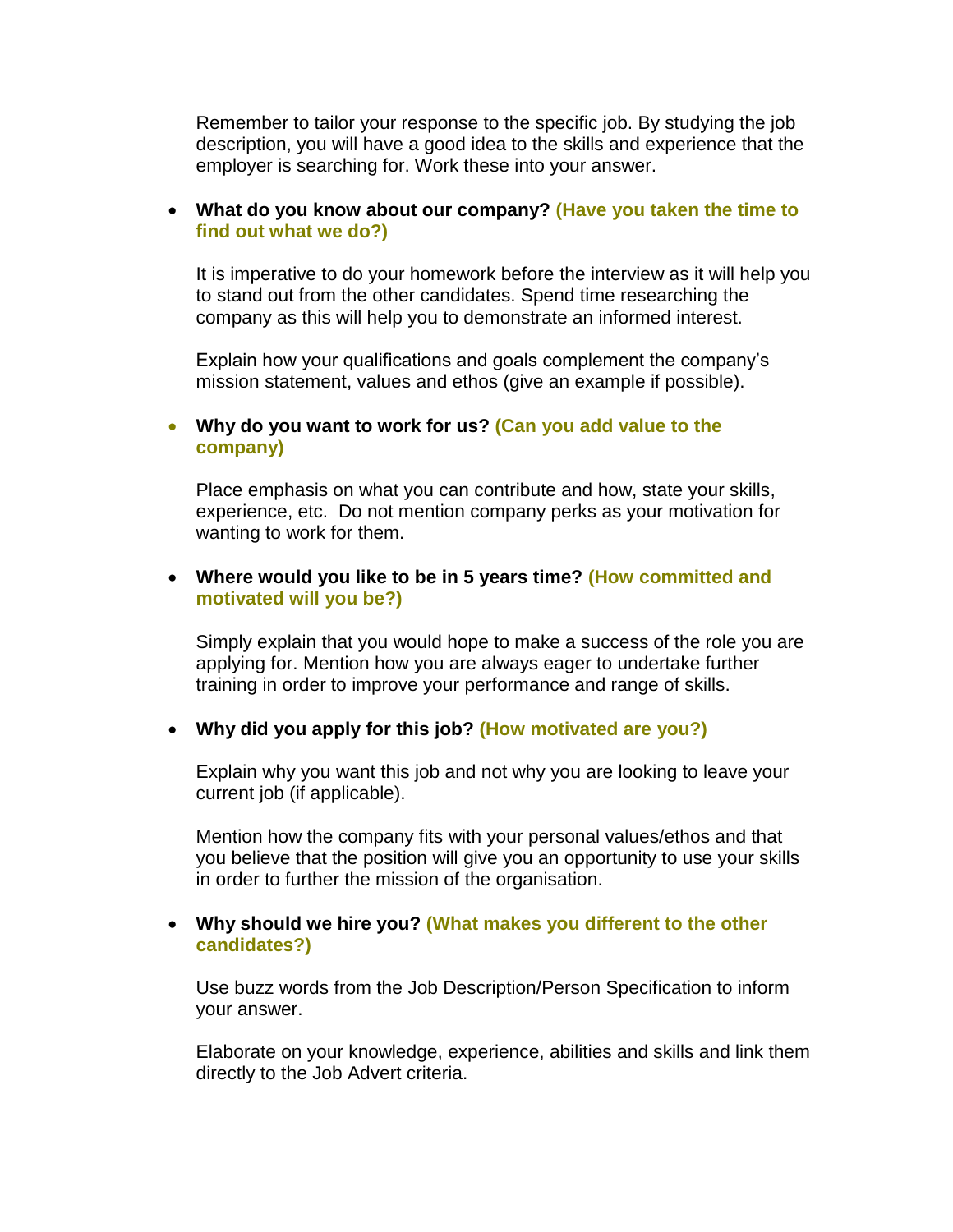Remember to tailor your response to the specific job. By studying the job description, you will have a good idea to the skills and experience that the employer is searching for. Work these into your answer.

## **What do you know about our company? (Have you taken the time to find out what we do?)**

It is imperative to do your homework before the interview as it will help you to stand out from the other candidates. Spend time researching the company as this will help you to demonstrate an informed interest.

Explain how your qualifications and goals complement the company's mission statement, values and ethos (give an example if possible).

#### **Why do you want to work for us? (Can you add value to the company)**

Place emphasis on what you can contribute and how, state your skills, experience, etc. Do not mention company perks as your motivation for wanting to work for them.

## **Where would you like to be in 5 years time? (How committed and motivated will you be?)**

Simply explain that you would hope to make a success of the role you are applying for. Mention how you are always eager to undertake further training in order to improve your performance and range of skills.

## **Why did you apply for this job? (How motivated are you?)**

Explain why you want this job and not why you are looking to leave your current job (if applicable).

Mention how the company fits with your personal values/ethos and that you believe that the position will give you an opportunity to use your skills in order to further the mission of the organisation.

#### **Why should we hire you? (What makes you different to the other candidates?)**

Use buzz words from the Job Description/Person Specification to inform your answer.

Elaborate on your knowledge, experience, abilities and skills and link them directly to the Job Advert criteria.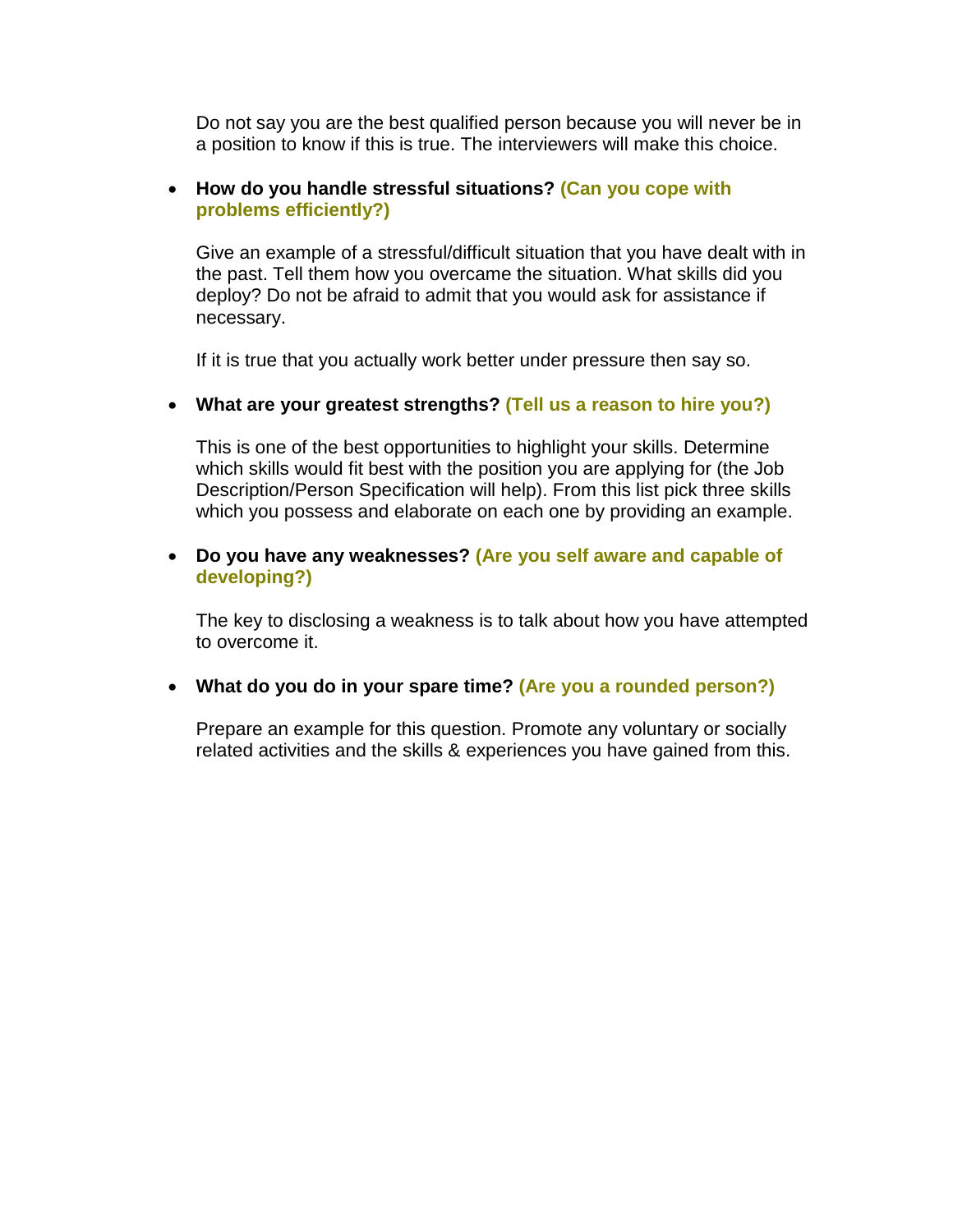Do not say you are the best qualified person because you will never be in a position to know if this is true. The interviewers will make this choice.

#### **How do you handle stressful situations? (Can you cope with problems efficiently?)**

Give an example of a stressful/difficult situation that you have dealt with in the past. Tell them how you overcame the situation. What skills did you deploy? Do not be afraid to admit that you would ask for assistance if necessary.

If it is true that you actually work better under pressure then say so.

#### **What are your greatest strengths? (Tell us a reason to hire you?)**

This is one of the best opportunities to highlight your skills. Determine which skills would fit best with the position you are applying for (the Job Description/Person Specification will help). From this list pick three skills which you possess and elaborate on each one by providing an example.

## **Do you have any weaknesses? (Are you self aware and capable of developing?)**

The key to disclosing a weakness is to talk about how you have attempted to overcome it.

## **What do you do in your spare time? (Are you a rounded person?)**

Prepare an example for this question. Promote any voluntary or socially related activities and the skills & experiences you have gained from this.